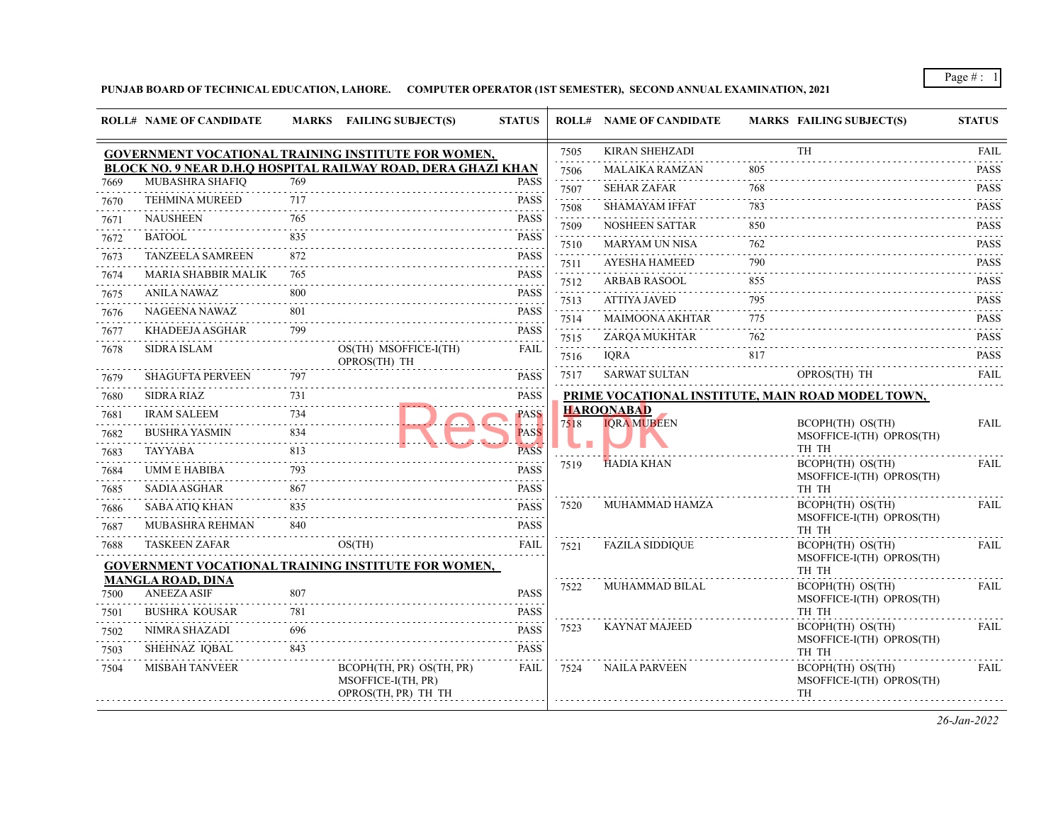**PUNJAB BOARD OF TECHNICAL EDUCATION, LAHORE. COMPUTER OPERATOR (1ST SEMESTER), SECOND ANNUAL EXAMINATION, 2021**

|      | <b>ROLL# NAME OF CANDIDATE</b> |               | MARKS FAILING SUBJECT(S)                                              | <b>STATUS</b>                |                                                                                                                                                                                      | <b>ROLL# NAME OF CANDIDATE</b> |                                           | MARKS FAILING SUBJECT(S)                                  | <b>STATUS</b>                       |
|------|--------------------------------|---------------|-----------------------------------------------------------------------|------------------------------|--------------------------------------------------------------------------------------------------------------------------------------------------------------------------------------|--------------------------------|-------------------------------------------|-----------------------------------------------------------|-------------------------------------|
|      |                                |               | <b>GOVERNMENT VOCATIONAL TRAINING INSTITUTE FOR WOMEN,</b>            |                              | 7505<br>.                                                                                                                                                                            | <b>KIRAN SHEHZADI</b>          |                                           | <b>TH</b>                                                 | <b>FAIL</b><br>1.1.1.1.1.1.1        |
|      |                                |               | BLOCK NO. 9 NEAR D.H.Q HOSPITAL RAILWAY ROAD, DERA GHAZI KHAN         |                              | 7506                                                                                                                                                                                 | MALAIKA RAMZAN                 | 805                                       |                                                           | <b>PASS</b><br>.                    |
| 7669 | MUBASHRA SHAFIQ                | 769           |                                                                       | <b>PASS</b>                  | 7507                                                                                                                                                                                 | <b>SEHAR ZAFAR</b>             | 768                                       |                                                           | <b>PASS</b>                         |
| 7670 | <b>TEHMINA MUREED</b><br>.     | 717<br>111111 |                                                                       | <b>PASS</b>                  | 7508                                                                                                                                                                                 | SHAMAYAM IFFAT                 | 783                                       |                                                           | <b>PASS</b>                         |
| 7671 | <b>NAUSHEEN</b>                | 765           |                                                                       | <b>PASS</b>                  | .<br>7509                                                                                                                                                                            | <b>NOSHEEN SATTAR</b>          | 850                                       |                                                           | <b>PASS</b>                         |
| 7672 | <b>BATOOL</b>                  | 835           |                                                                       | <b>PASS</b><br>.             | $\mathcal{L}^{\mathcal{A}}\left( \mathcal{A}^{\mathcal{A}}\right) =\mathcal{L}^{\mathcal{A}}\left( \mathcal{A}^{\mathcal{A}}\right)$<br>7510                                         | MARYAM UN NISA                 | 762                                       |                                                           | $\omega$ is a single<br><b>PASS</b> |
| 7673 | <b>TANZEELA SAMREEN</b>        |               |                                                                       | <b>PASS</b>                  | $\mathcal{L}^{\mathcal{L}}\left( \mathcal{L}^{\mathcal{L}}\left( \mathcal{L}^{\mathcal{L}}\right) \right) =\mathcal{L}^{\mathcal{L}}\left( \mathcal{L}^{\mathcal{L}}\right)$<br>7511 | AYESHA HAMEED                  | 790                                       |                                                           | .<br><b>PASS</b>                    |
| 7674 | <b>MARIA SHABBIR MALIK</b>     | 765           |                                                                       | <b>PASS</b>                  | 7512                                                                                                                                                                                 | ARBAB RASOOL                   | $\sim$ $\sim$ $\sim$ $\sim$ $\sim$<br>855 |                                                           | .<br><b>PASS</b>                    |
| 7675 | ANILA NAWAZ                    | 800           |                                                                       | <b>PASS</b>                  | 7513                                                                                                                                                                                 | <b>ATTIYA JAVED</b>            | .<br>795                                  |                                                           | $- - - - - - -$<br><b>PASS</b>      |
| 7676 | NAGEENA NAWAZ                  | 801           |                                                                       | <b>PASS</b>                  | المتحدث المتالي<br>7514                                                                                                                                                              | <b>MAIMOONA AKHTAR</b>         | 775                                       |                                                           | <b>PASS</b>                         |
| 7677 | KHADEEJA ASGHAR<br>.           | 799           |                                                                       | <b>PASS</b>                  | 7515                                                                                                                                                                                 | ZARQA MUKHTAR                  | 762                                       |                                                           | .<br><b>PASS</b>                    |
| 7678 | <b>SIDRA ISLAM</b>             |               | OS(TH) MSOFFICE-I(TH)<br>OPROS(TH) TH                                 | <b>FAIL</b>                  | .<br>7516                                                                                                                                                                            | <b>IORA</b>                    | 817                                       |                                                           | .<br><b>PASS</b><br>and a state     |
| 7679 | <b>SHAGUFTA PERVEEN</b>        | 797           |                                                                       | <b>PASS</b>                  | 7517                                                                                                                                                                                 | SARWAT SULTAN                  |                                           | OPROS(TH) TH                                              | <b>FAIL</b>                         |
| 7680 | <b>SIDRA RIAZ</b>              | 731           |                                                                       | <b>PASS</b>                  |                                                                                                                                                                                      |                                |                                           | PRIME VOCATIONAL INSTITUTE, MAIN ROAD MODEL TOWN,         |                                     |
| 7681 | <b>IRAM SALEEM</b>             | 734           |                                                                       | <b>PASS</b>                  |                                                                                                                                                                                      | <b>HAROONABAD</b>              |                                           |                                                           |                                     |
| 7682 | <b>BUSHRA YASMIN</b>           | 834           |                                                                       | .<br><b>PASS</b>             | 7518                                                                                                                                                                                 | <b>IQRA MUBEEN</b>             |                                           | BCOPH(TH) OS(TH)<br>MSOFFICE-I(TH) OPROS(TH)              | FAIL                                |
| 7683 | TAYYABA                        | 813           |                                                                       | <b>PASS</b>                  |                                                                                                                                                                                      |                                |                                           | TH TH                                                     |                                     |
| 7684 | UMM E HABIBA                   | 793           |                                                                       | <b>PASS</b>                  | 7519                                                                                                                                                                                 | <b>HADIA KHAN</b>              |                                           | BCOPH(TH) OS(TH)<br>MSOFFICE-I(TH) OPROS(TH)              | <b>FAIL</b>                         |
| 7685 | SADIA ASGHAR                   | 867           |                                                                       | <b>PASS</b>                  |                                                                                                                                                                                      |                                |                                           | TH TH                                                     |                                     |
| 7686 | <b>SABA ATIQ KHAN</b>          | 835           |                                                                       | <b>PASS</b>                  | 7520                                                                                                                                                                                 | MUHAMMAD HAMZA                 |                                           | BCOPH(TH) OS(TH)                                          | FAIL                                |
| 7687 | MUBASHRA REHMAN                | 840           |                                                                       | .<br><b>PASS</b>             |                                                                                                                                                                                      |                                |                                           | MSOFFICE-I(TH) OPROS(TH)<br>TH TH                         |                                     |
| 7688 | TASKEEN ZAFAR                  |               | OS(TH)                                                                | FAIL                         | 7521                                                                                                                                                                                 | <b>FAZILA SIDDIQUE</b>         |                                           | BCOPH(TH) OS(TH)                                          | <b>FAIL</b>                         |
|      |                                |               | <b>GOVERNMENT VOCATIONAL TRAINING INSTITUTE FOR WOMEN,</b>            |                              |                                                                                                                                                                                      |                                |                                           | MSOFFICE-I(TH) OPROS(TH)<br>TH TH                         |                                     |
|      | <b>MANGLA ROAD, DINA</b>       |               |                                                                       |                              | 7522                                                                                                                                                                                 | MUHAMMAD BILAL                 |                                           | BCOPH(TH) OS(TH)                                          | <b>FAIL</b>                         |
| 7500 | <b>ANEEZA ASIF</b>             | 807           |                                                                       | <b>PASS</b>                  |                                                                                                                                                                                      |                                |                                           | MSOFFICE-I(TH) OPROS(TH)                                  |                                     |
| 7501 | <b>BUSHRA KOUSAR</b><br>.      | 781           |                                                                       | <b>PASS</b>                  |                                                                                                                                                                                      |                                |                                           | TH TH                                                     |                                     |
| 7502 | NIMRA SHAZADI                  | 696           |                                                                       | <b>PASS</b><br>$- - - - - -$ | 7523                                                                                                                                                                                 | <b>KAYNAT MAJEED</b>           |                                           | BCOPH(TH) OS(TH)<br>MSOFFICE-I(TH) OPROS(TH)              | FAIL                                |
| 7503 | SHEHNAZ IQBAL                  | 843           |                                                                       | <b>PASS</b>                  |                                                                                                                                                                                      |                                |                                           | TH TH                                                     |                                     |
| 7504 | <b>MISBAH TANVEER</b>          |               | BCOPH(TH, PR) OS(TH, PR)<br>MSOFFICE-I(TH, PR)<br>OPROS(TH, PR) TH TH | FAIL                         | 7524                                                                                                                                                                                 | <b>NAILA PARVEEN</b>           |                                           | BCOPH(TH) OS(TH)<br>MSOFFICE-I(TH) OPROS(TH)<br><b>TH</b> | FAIL                                |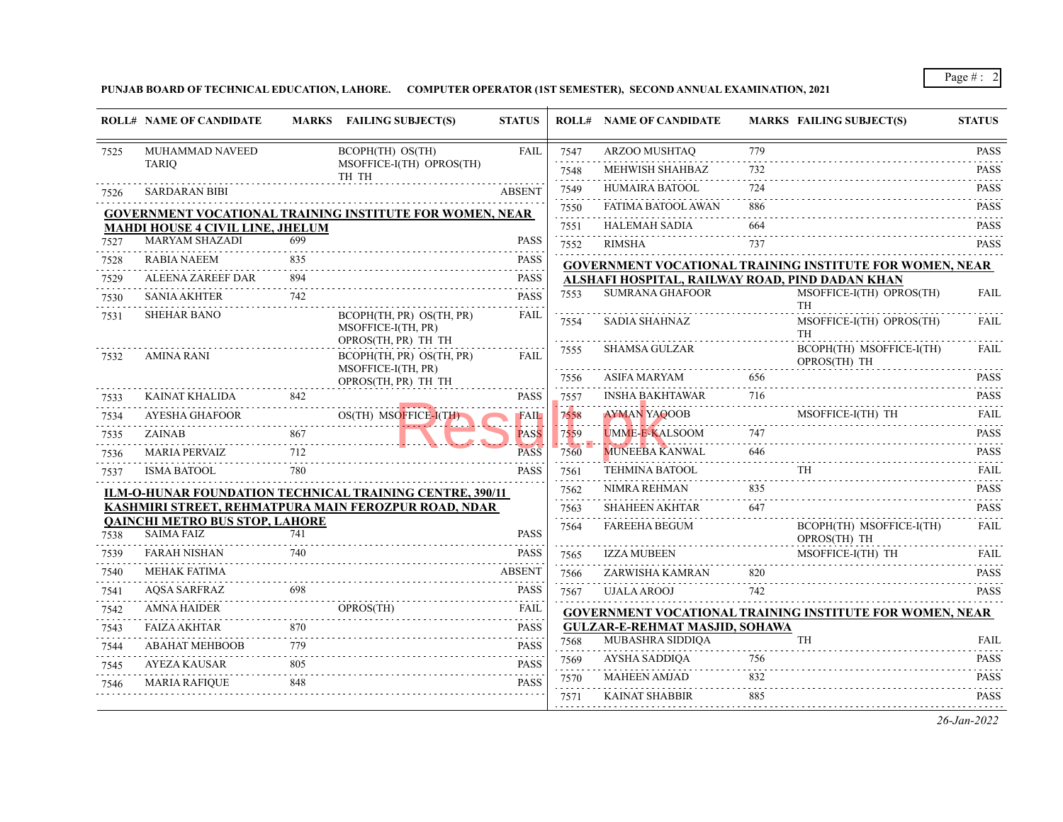**PUNJAB BOARD OF TECHNICAL EDUCATION, LAHORE. COMPUTER OPERATOR (1ST SEMESTER), SECOND ANNUAL EXAMINATION, 2021**

|      | <b>ROLL# NAME OF CANDIDATE</b>                             |     | MARKS FAILING SUBJECT(S)                                              | <b>STATUS</b>                                    |                                                                                                                                                                                                                                                                                                                                                                                                                                              | <b>ROLL# NAME OF CANDIDATE</b>                  |          | <b>MARKS FAILING SUBJECT(S)</b>                                 | <b>STATUS</b>                                                                                                                                                                                    |
|------|------------------------------------------------------------|-----|-----------------------------------------------------------------------|--------------------------------------------------|----------------------------------------------------------------------------------------------------------------------------------------------------------------------------------------------------------------------------------------------------------------------------------------------------------------------------------------------------------------------------------------------------------------------------------------------|-------------------------------------------------|----------|-----------------------------------------------------------------|--------------------------------------------------------------------------------------------------------------------------------------------------------------------------------------------------|
| 7525 | MUHAMMAD NAVEED                                            |     | BCOPH(TH) OS(TH)                                                      | <b>FAIL</b>                                      | 7547                                                                                                                                                                                                                                                                                                                                                                                                                                         | ARZOO MUSHTAO                                   | 779      |                                                                 | <b>PASS</b>                                                                                                                                                                                      |
|      | TARIO                                                      |     | MSOFFICE-I(TH) OPROS(TH)<br>TH TH                                     |                                                  | 7548                                                                                                                                                                                                                                                                                                                                                                                                                                         | MEHWISH SHAHBAZ                                 | 732      |                                                                 | <b>PASS</b>                                                                                                                                                                                      |
| 7526 | <b>SARDARAN BIBI</b>                                       |     |                                                                       | <b>ABSENT</b>                                    | .<br>7549                                                                                                                                                                                                                                                                                                                                                                                                                                    | HUMAIRA BATOOL                                  | 724      |                                                                 | $\omega$ is a second<br><b>PASS</b>                                                                                                                                                              |
|      |                                                            |     | <b>GOVERNMENT VOCATIONAL TRAINING INSTITUTE FOR WOMEN, NEAR</b>       |                                                  | 7550                                                                                                                                                                                                                                                                                                                                                                                                                                         | FATIMA BATOOL AWAN                              | 886      |                                                                 | <b>PASS</b>                                                                                                                                                                                      |
|      | <b>MAHDI HOUSE 4 CIVIL LINE, JHELUM</b>                    |     |                                                                       |                                                  | $-1 - 1 - 1$<br>7551                                                                                                                                                                                                                                                                                                                                                                                                                         | <b>HALEMAH SADIA</b>                            | 664      |                                                                 | .<br><b>PASS</b>                                                                                                                                                                                 |
| 7527 | <b>MARYAM SHAZADI</b>                                      | 699 |                                                                       | <b>PASS</b>                                      | 7552                                                                                                                                                                                                                                                                                                                                                                                                                                         | <b>RIMSHA</b>                                   | 737      |                                                                 | .<br><b>PASS</b>                                                                                                                                                                                 |
| 7528 | <b>RABIA NAEEM</b>                                         | 835 |                                                                       | <b>PASS</b>                                      |                                                                                                                                                                                                                                                                                                                                                                                                                                              |                                                 |          | GOVERNMENT VOCATIONAL TRAINING INSTITUTE FOR WOMEN, NEAR        |                                                                                                                                                                                                  |
| 7529 | ALEENA ZAREEF DAR                                          | 894 |                                                                       | <b>PASS</b>                                      |                                                                                                                                                                                                                                                                                                                                                                                                                                              | ALSHAFI HOSPITAL, RAILWAY ROAD, PIND DADAN KHAN |          |                                                                 |                                                                                                                                                                                                  |
| 7530 | <b>SANIA AKHTER</b>                                        | 742 |                                                                       | <b>PASS</b>                                      | 7553                                                                                                                                                                                                                                                                                                                                                                                                                                         | <b>SUMRANA GHAFOOR</b>                          |          | MSOFFICE-I(TH) OPROS(TH)<br><b>TH</b>                           | <b>FAIL</b>                                                                                                                                                                                      |
| 7531 | <b>SHEHAR BANO</b>                                         |     | BCOPH(TH, PR) OS(TH, PR)<br>MSOFFICE-I(TH, PR)<br>OPROS(TH, PR) TH TH | <b>FAIL</b>                                      | 7554                                                                                                                                                                                                                                                                                                                                                                                                                                         | SADIA SHAHNAZ                                   |          | MSOFFICE-I(TH) OPROS(TH)<br><b>TH</b>                           | <b>FAIL</b>                                                                                                                                                                                      |
| 7532 | <b>AMINA RANI</b>                                          |     | BCOPH(TH, PR) OS(TH, PR)<br>MSOFFICE-I(TH, PR)                        | <b>FAIL</b>                                      | 7555<br>.                                                                                                                                                                                                                                                                                                                                                                                                                                    | SHAMSA GULZAR                                   |          | BCOPH(TH) MSOFFICE-I(TH)<br>OPROS(TH) TH                        | FAIL<br>$\frac{1}{2} \left( \frac{1}{2} \right) \left( \frac{1}{2} \right) \left( \frac{1}{2} \right) \left( \frac{1}{2} \right) \left( \frac{1}{2} \right)$                                     |
|      |                                                            |     | OPROS(TH, PR) TH TH                                                   |                                                  | 7556                                                                                                                                                                                                                                                                                                                                                                                                                                         | ASIFA MARYAM                                    | 656      |                                                                 | PASS                                                                                                                                                                                             |
| 7533 | KAINAT KHALIDA                                             | 842 |                                                                       | <b>PASS</b>                                      | 7557                                                                                                                                                                                                                                                                                                                                                                                                                                         | INSHA BAKHTAWAR                                 | 716      |                                                                 | <b>PASS</b><br>.                                                                                                                                                                                 |
| 7534 | AYESHA GHAFOOR<br>.                                        |     | OS(TH) MSOFFICE-I(TH)                                                 | <b>FAIL</b>                                      | 7558                                                                                                                                                                                                                                                                                                                                                                                                                                         | <b>AYMAN YAQOOB</b>                             |          | MSOFFICE-I(TH) TH                                               | <b>FAIL</b><br>$- - - - - - -$                                                                                                                                                                   |
| 7535 | ZAINAB                                                     | 867 |                                                                       | <b>PASS</b>                                      | 7559<br>r - Barrier                                                                                                                                                                                                                                                                                                                                                                                                                          | <b>UMME-E-KALSOOM</b>                           | 747      |                                                                 | <b>PASS</b><br>.                                                                                                                                                                                 |
| 7536 | <b>MARIA PERVAIZ</b>                                       | 712 |                                                                       | <b>PASS</b>                                      | 7560                                                                                                                                                                                                                                                                                                                                                                                                                                         | MUNEEBA KANWAL                                  | 646      |                                                                 | <b>PASS</b><br>.                                                                                                                                                                                 |
| 7537 | <b>ISMA BATOOL</b>                                         | 780 |                                                                       | PASS                                             | 7561                                                                                                                                                                                                                                                                                                                                                                                                                                         | <b>TEHMINA BATOOL</b>                           |          | <b>TH</b>                                                       | <b>FAIL</b>                                                                                                                                                                                      |
|      |                                                            |     | ILM-O-HUNAR FOUNDATION TECHNICAL TRAINING CENTRE, 390/11              |                                                  | 7562                                                                                                                                                                                                                                                                                                                                                                                                                                         | NIMRA REHMAN                                    | 835      |                                                                 | <b>PASS</b><br>.                                                                                                                                                                                 |
|      |                                                            |     | KASHMIRI STREET, REHMATPURA MAIN FEROZPUR ROAD, NDAR                  |                                                  | 7563                                                                                                                                                                                                                                                                                                                                                                                                                                         | SHAHEEN AKHTAR                                  | 647      |                                                                 | <b>PASS</b>                                                                                                                                                                                      |
| 7538 | <b>QAINCHI METRO BUS STOP, LAHORE</b><br><b>SAIMA FAIZ</b> | 741 |                                                                       | PASS                                             | 7564                                                                                                                                                                                                                                                                                                                                                                                                                                         | FAREEHA BEGUM                                   |          | BCOPH(TH) MSOFFICE-I(TH)<br>OPROS(TH) TH                        | <b>FAIL</b>                                                                                                                                                                                      |
| 7539 | <b>FARAH NISHAN</b>                                        | 740 |                                                                       | <b>PASS</b>                                      | 7565                                                                                                                                                                                                                                                                                                                                                                                                                                         | <b>IZZA MUBEEN</b>                              |          | MSOFFICE-I(TH) TH                                               | FAIL                                                                                                                                                                                             |
| 7540 | <b>MEHAK FATIMA</b>                                        |     |                                                                       | <b>ABSENT</b>                                    | 7566                                                                                                                                                                                                                                                                                                                                                                                                                                         | ZARWISHA KAMRAN                                 | 820      |                                                                 | $\mathcal{L}^{\mathcal{A}}\mathcal{L}^{\mathcal{A}}\mathcal{L}^{\mathcal{A}}\mathcal{L}^{\mathcal{A}}\mathcal{L}^{\mathcal{A}}\mathcal{L}^{\mathcal{A}}\mathcal{L}^{\mathcal{A}}$<br><b>PASS</b> |
| 7541 | AQSA SARFRAZ                                               | 698 |                                                                       | <b>PASS</b>                                      | 7567                                                                                                                                                                                                                                                                                                                                                                                                                                         | UJALA AROOJ                                     | 742      |                                                                 | $-12221$<br><b>PASS</b>                                                                                                                                                                          |
| 7542 | <b>AMNA HAIDER</b>                                         |     | OPROS(TH)                                                             | <b>FAIL</b>                                      |                                                                                                                                                                                                                                                                                                                                                                                                                                              |                                                 |          | <b>GOVERNMENT VOCATIONAL TRAINING INSTITUTE FOR WOMEN, NEAR</b> |                                                                                                                                                                                                  |
| 7543 | <b>FAIZA AKHTAR</b>                                        | 870 |                                                                       | <b>PASS</b>                                      |                                                                                                                                                                                                                                                                                                                                                                                                                                              | <b>GULZAR-E-REHMAT MASJID, SOHAWA</b>           |          |                                                                 |                                                                                                                                                                                                  |
| 7544 | <b>ABAHAT MEHBOOB</b>                                      | 779 |                                                                       | <b><i><u>A.A.A.A.A.A.</u></i></b><br><b>PASS</b> | 7568<br>$\label{eq:2.1} \begin{array}{cccccccccccccc} \mathbf{1} & \mathbf{1} & \mathbf{1} & \mathbf{1} & \mathbf{1} & \mathbf{1} & \mathbf{1} & \mathbf{1} & \mathbf{1} & \mathbf{1} & \mathbf{1} & \mathbf{1} & \mathbf{1} & \mathbf{1} & \mathbf{1} & \mathbf{1} & \mathbf{1} & \mathbf{1} & \mathbf{1} & \mathbf{1} & \mathbf{1} & \mathbf{1} & \mathbf{1} & \mathbf{1} & \mathbf{1} & \mathbf{1} & \mathbf{1} & \mathbf{1} & \mathbf{1$ | MUBASHRA SIDDIQA                                |          | TH                                                              | <b>FAIL</b>                                                                                                                                                                                      |
| 7545 | AYEZA KAUSAR                                               | 805 |                                                                       | <b>PASS</b>                                      | 7569                                                                                                                                                                                                                                                                                                                                                                                                                                         | AYSHA SADDIQA                                   | 756      |                                                                 | <b>PASS</b><br>.                                                                                                                                                                                 |
| 7546 | <b>MARIA RAFIOUE</b>                                       | 848 |                                                                       | .<br><b>PASS</b>                                 | 7570                                                                                                                                                                                                                                                                                                                                                                                                                                         | <b>MAHEEN AMJAD</b>                             | 832<br>. |                                                                 | <b>PASS</b><br>.                                                                                                                                                                                 |
|      |                                                            |     |                                                                       |                                                  | 7571                                                                                                                                                                                                                                                                                                                                                                                                                                         | <b>KAINAT SHABBIR</b>                           | 885      |                                                                 | <b>PASS</b>                                                                                                                                                                                      |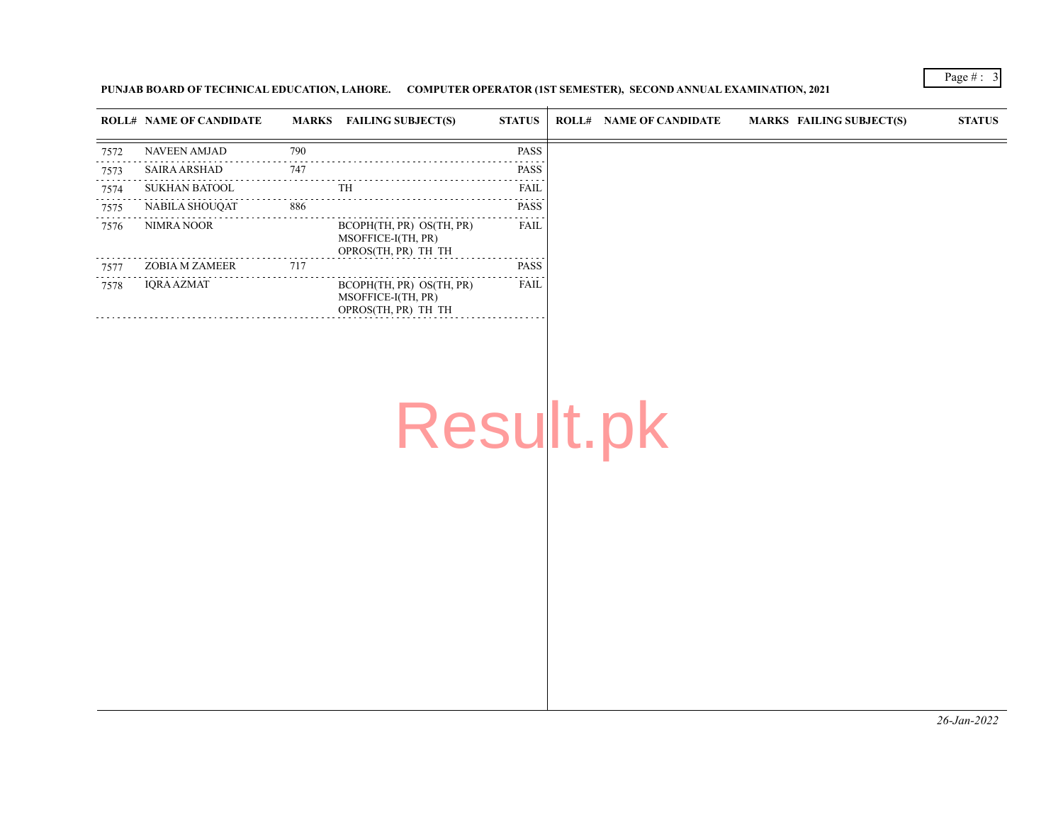## **PUNJAB BOARD OF TECHNICAL EDUCATION, LAHORE. COMPUTER OPERATOR (1ST SEMESTER), SECOND ANNUAL EXAMINATION, 2021**

|      | <b>ROLL# NAME OF CANDIDATE</b> |     | MARKS FAILING SUBJECT(S)                                              | <b>STATUS</b> | <b>ROLL# NAME OF CANDIDATE</b> | <b>MARKS FAILING SUBJECT(S)</b> | <b>STATUS</b> |
|------|--------------------------------|-----|-----------------------------------------------------------------------|---------------|--------------------------------|---------------------------------|---------------|
| 7572 | <b>NAVEEN AMJAD</b>            | 790 |                                                                       | <b>PASS</b>   |                                |                                 |               |
| 7573 | SAIRA ARSHAD                   | 747 |                                                                       | <b>PASS</b>   |                                |                                 |               |
| 7574 | <b>SUKHAN BATOOL</b>           |     | TH                                                                    | <b>FAIL</b>   |                                |                                 |               |
| 7575 | <b>NABILA SHOUQAT</b>          | 886 |                                                                       | <b>PASS</b>   |                                |                                 |               |
| 7576 | <b>NIMRA NOOR</b>              |     | BCOPH(TH, PR) OS(TH, PR)<br>MSOFFICE-I(TH, PR)<br>OPROS(TH, PR) TH TH | <b>FAIL</b>   |                                |                                 |               |
| 7577 | ZOBIA M ZAMEER                 | 717 |                                                                       | <b>PASS</b>   |                                |                                 |               |
| 7578 | <b>IORA AZMAT</b>              |     | BCOPH(TH, PR) OS(TH, PR)<br>MSOFFICE-I(TH, PR)<br>OPROS(TH, PR) TH TH | <b>FAIL</b>   |                                |                                 |               |
|      |                                |     |                                                                       |               |                                |                                 |               |

Result.pk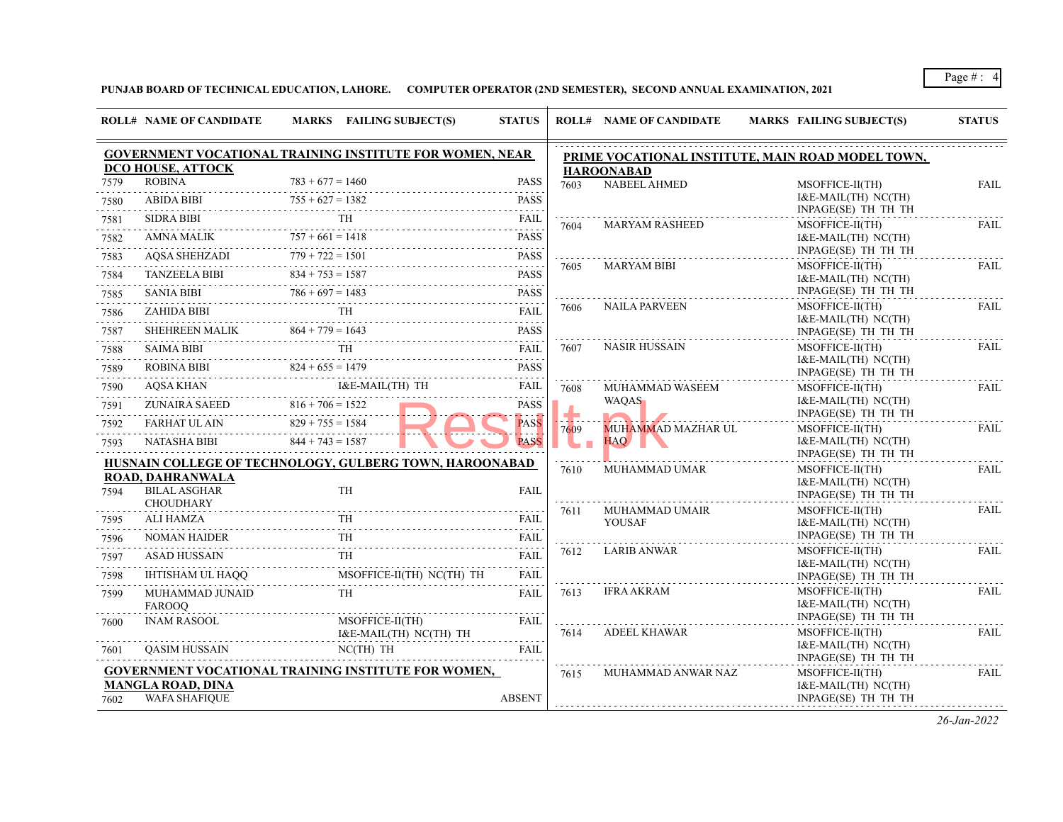**PUNJAB BOARD OF TECHNICAL EDUCATION, LAHORE. COMPUTER OPERATOR (2ND SEMESTER), SECOND ANNUAL EXAMINATION, 2021**

|           | DCO HOUSE, ATTOCK                                | <b>GOVERNMENT VOCATIONAL TRAINING INSTITUTE FOR WOMEN, NEAR</b>                                                                                                            |                  |           | <b>HAROONABAD</b>     | PRIME VOCATIONAL INSTITUTE, MAIN ROAD MODEL TOWN,   |                                       |
|-----------|--------------------------------------------------|----------------------------------------------------------------------------------------------------------------------------------------------------------------------------|------------------|-----------|-----------------------|-----------------------------------------------------|---------------------------------------|
| 7579      |                                                  | $\frac{783 + 677 = 1460}{755 + 627 = 1382}$                                                                                                                                | <b>PASS</b>      | 7603      | <b>NABEEL AHMED</b>   | MSOFFICE-II(TH)                                     | <b>FAIL</b>                           |
| 7580      |                                                  | ABIDA BIBI $755 + 627 = 1382$ PASS                                                                                                                                         | <b>PASS</b>      |           |                       | $I&E\text{-}MAIL(TH) NC(TH)$                        |                                       |
| 7581      | SIDRA BIBI                                       | <b>TH</b>                                                                                                                                                                  | <b>FAIL</b>      | 7604      | <b>MARYAM RASHEED</b> | INPAGE(SE) TH TH TH<br>MSOFFICE-II(TH)              | <b>FAIL</b>                           |
| 7582      |                                                  | AMNA MALIK $757 + 661 = 1418$ PASS                                                                                                                                         | .                |           |                       | $I&E\text{-}{MAIL}(TH)$ NC(TH)                      |                                       |
| 7583      |                                                  | AQSA SHEHZADI $779 + 722 = 1501$ PASS                                                                                                                                      |                  |           |                       | INPAGE(SE) TH TH TH                                 |                                       |
| .<br>7584 | <b>TANZEELA BIBI</b><br>NZEELA BIBI<br>ULA DIDI  | $834 + 753 = 1587$                                                                                                                                                         | <b>PASS</b>      | 7605      | <b>MARYAM BIBI</b>    | MSOFFICE-II(TH)<br>$I&E\text{-}MAIL(TH) NC(TH)$     | FAIL                                  |
| 7585      | <b>SANIA BIBI</b>                                | $786 + 697 = 1483$<br>SANIA BIBI $786 + 697 = 1483$ PASS                                                                                                                   | <b>PASS</b>      |           |                       | INPAGE(SE) TH TH TH                                 |                                       |
| 7586      | ZAHIDA BIBI                                      | <b>TH</b>                                                                                                                                                                  |                  | 7606      | <b>NAILA PARVEEN</b>  | MSOFFICE-II(TH)<br>$I&E\text{-}MAIL(TH) NC(TH)$     | FAIL                                  |
| 7587      |                                                  | $\begin{tabular}{llllll} ZAHIDA BIBI & TH & FAIL \\ \hline SHEHREEN MALIK & 864 + 779 = 1643 & & & & & & & & & & & \\ & & & & & & & & & & & & & & \\ \hline \end{tabular}$ |                  |           |                       | INPAGE(SE) TH TH TH                                 |                                       |
| 7588      | SAIMA BIBI                                       | TH.                                                                                                                                                                        | <b>FAIL</b>      | 7607      | <b>NASIR HUSSAIN</b>  | MSOFFICE-II(TH)                                     | <b>FAIL</b>                           |
| 7589      | <b>ROBINA BIBI</b>                               | PEINA BIBI<br>BINA BIBI 824 + 655 = 1479                                                                                                                                   | <b>PASS</b>      |           |                       | I&E-MAIL(TH) NC(TH)<br>INPAGE(SE) TH TH TH          |                                       |
| 7590<br>. |                                                  | AQSA KHAN I&E-MAIL(TH) TH                                                                                                                                                  |                  | 7608      | MUHAMMAD WASEEM       | MSOFFICE-II(TH)                                     | <b>FAIL</b>                           |
| 7591      | ZUNAIRA SAEED $816 + 706 = 1522$                 |                                                                                                                                                                            | <b>PASS</b>      |           | <b>WAQAS</b>          | $I&E\text{-}MAIL(TH) NC(TH)$<br>INPAGE(SE) TH TH TH |                                       |
| 7592      | FARHAT UL AIN $829 + 755 = 1584$                 |                                                                                                                                                                            | <b>PASS</b>      | 7609      | MUHAMMAD MAZHAR UL    | MSOFFICE-II(TH)                                     | .<br><b>FAIL</b>                      |
| 7593      | NATASHA BIBI $844 + 743 = 1587$                  |                                                                                                                                                                            | <b>PASS</b>      |           | HAQ                   | I&E-MAIL(TH) NC(TH)<br>INPAGE(SE) TH TH TH          |                                       |
|           |                                                  | HUSNAIN COLLEGE OF TECHNOLOGY, GULBERG TOWN, HAROONABAD                                                                                                                    |                  | 7610      | MUHAMMAD UMAR         | MSOFFICE-II(TH)                                     | $- - - - - -$<br>FAIL                 |
| 7594      | ROAD, DAHRANWALA<br><b>BILAL ASGHAR</b>          | <b>TH</b>                                                                                                                                                                  | <b>FAIL</b>      |           |                       | $I&E\text{-}MAIL(TH) NC(TH)$                        |                                       |
|           | <b>CHOUDHARY</b>                                 |                                                                                                                                                                            |                  | 7611      | MUHAMMAD UMAIR        | INPAGE(SE) TH TH TH<br>MSOFFICE-II(TH)              | <b>FAIL</b>                           |
| 7595      | ALI HAMZA                                        | TH                                                                                                                                                                         | FAIL             |           | YOUSAF                | $I&E\text{-}MAIL(TH) NC(TH)$                        |                                       |
| 7596      | NOMAN HAIDER                                     | <b>TH</b>                                                                                                                                                                  | <b>FAIL</b>      |           |                       | INPAGE(SE) TH TH TH                                 | .                                     |
| 7597      | <b>ASAD HUSSAIN</b>                              | <b>TH</b>                                                                                                                                                                  | <b>FAIL</b><br>. | 7612      | LARIB ANWAR           | MSOFFICE-II(TH)<br>I&E-MAIL(TH) NC(TH)              | <b>FAIL</b>                           |
| 7598      | IHTISHAM UL HAQQ                                 | MSOFFICE-II(TH) NC(TH) TH<br>,<br>.                                                                                                                                        | <b>FAIL</b>      |           |                       | INPAGE(SE) TH TH TH                                 | .                                     |
| 7599      | MUHAMMAD JUNAID<br><b>FAROOO</b>                 | <b>TH</b>                                                                                                                                                                  | <b>FAIL</b>      | 7613      | IFRA AKRAM            | MSOFFICE-II(TH)<br>$I&E\text{-}MAIL(TH) NC(TH)$     | FAIL                                  |
| 7600      | <b>INAM RASOOL</b>                               | MSOFFICE-II(TH)                                                                                                                                                            | FAIL             | .<br>7614 | ADEEL KHAWAR          | INPAGE(SE) TH TH TH<br>MSOFFICE-II(TH)              | .<br><b>FAIL</b>                      |
| 7601      | QASIM HUSSAIN                                    | I&E-MAIL(TH) NC(TH) TH<br>$NC(TH)$ TH                                                                                                                                      | <b>FAIL</b>      |           |                       | $I&E\text{-}MAIL(TH) NC(TH)$<br>INPAGE(SE) TH TH TH |                                       |
|           |                                                  | <b>GOVERNMENT VOCATIONAL TRAINING INSTITUTE FOR WOMEN,</b>                                                                                                                 |                  | 7615      | MUHAMMAD ANWAR NAZ    | MSOFFICE-II(TH)                                     | $\alpha$ is a set of $\alpha$<br>FAIL |
| 7602      | <b>MANGLA ROAD, DINA</b><br><b>WAFA SHAFIQUE</b> |                                                                                                                                                                            | <b>ABSENT</b>    |           |                       | I&E-MAIL(TH) NC(TH)<br>INPAGE(SE) TH TH TH          |                                       |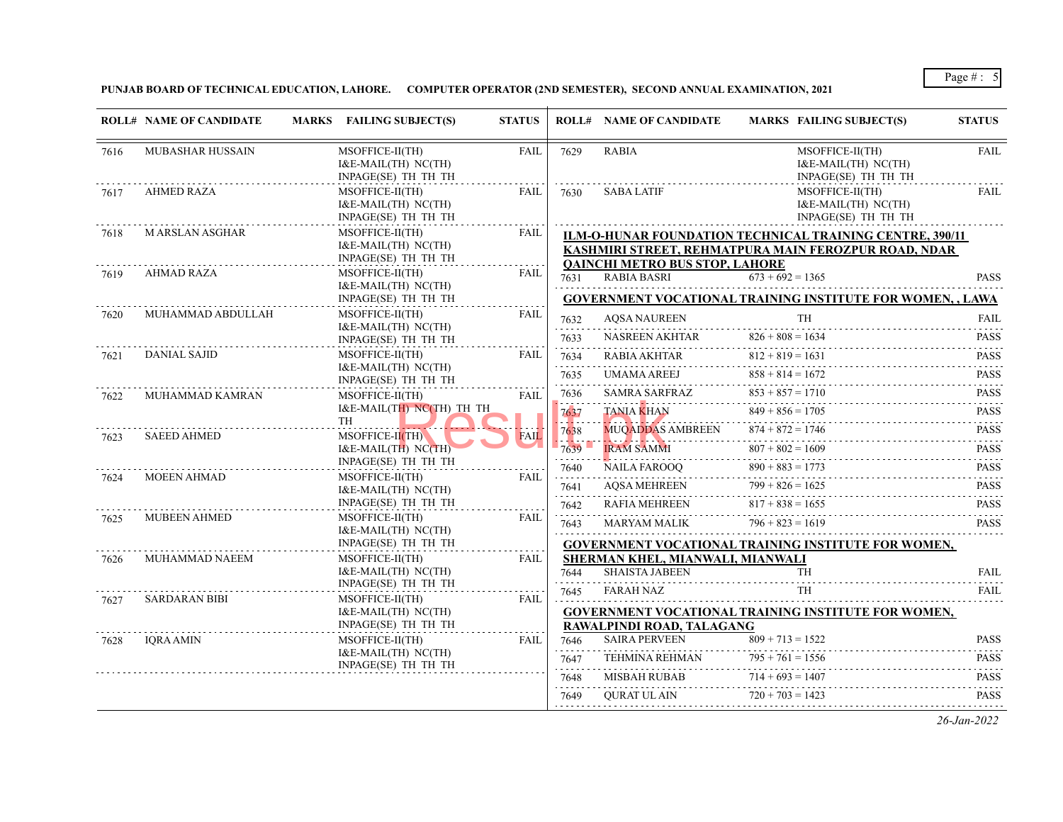**PUNJAB BOARD OF TECHNICAL EDUCATION, LAHORE. COMPUTER OPERATOR (2ND SEMESTER), SECOND ANNUAL EXAMINATION, 2021**

| <b>MUBASHAR HUSSAIN</b><br>MSOFFICE-II(TH)<br><b>FAIL</b><br><b>RABIA</b><br>MSOFFICE-II(TH)<br>7629<br>7616<br>I&E-MAIL(TH) NC(TH)<br>I&E-MAIL(TH) NC(TH)<br>INPAGE(SE) TH TH TH<br>INPAGE(SE) TH TH TH<br>MSOFFICE-II(TH)<br><b>AHMED RAZA</b><br>MSOFFICE-II(TH)<br><b>FAIL</b><br><b>SABA LATIF</b><br>7617<br>7630<br>I&E-MAIL(TH) NC(TH)<br>I&E-MAIL(TH) NC(TH)<br>INPAGE(SE) TH TH TH<br>INPAGE(SE) TH TH TH<br>M ARSLAN ASGHAR<br>MSOFFICE-II(TH)<br>FAIL<br>7618<br>ILM-O-HUNAR FOUNDATION TECHNICAL TRAINING CENTRE, 390/11<br>I&E-MAIL(TH) NC(TH)<br>KASHMIRI STREET, REHMATPURA MAIN FEROZPUR ROAD, NDAR<br>INPAGE(SE) TH TH TH<br><b>QAINCHI METRO BUS STOP, LAHORE</b><br>AHMAD RAZA<br>MSOFFICE-II(TH)<br><b>FAIL</b><br>7619<br><b>RABIA BASRI</b><br>$673 + 692 = 1365$<br>7631<br>I&E-MAIL(TH) NC(TH)<br><b>GOVERNMENT VOCATIONAL TRAINING INSTITUTE FOR WOMEN,, LAWA</b><br>INPAGE(SE) TH TH TH<br>MUHAMMAD ABDULLAH<br>MSOFFICE-II(TH)<br>FAIL<br>7620<br><b>TH</b><br><b>AQSA NAUREEN</b><br>7632<br>I&E-MAIL(TH) NC(TH)<br>$826 + 808 = 1634$<br>NASREEN AKHTAR<br>7633<br>INPAGE(SE) TH TH TH<br><b>DANIAL SAJID</b><br>MSOFFICE-II(TH)<br><b>FAIL</b><br>RABIA AKHTAR<br>$812 + 819 = 1631$<br>7621<br>7634<br>I&E-MAIL(TH) NC(TH)<br>$858 + 814 = 1672$<br><b>UMAMA AREEJ</b><br>7635<br>INPAGE(SE) TH TH TH<br>SAMRA SARFRAZ<br>$853 + 857 = 1710$<br>7636<br>MUHAMMAD KAMRAN<br>MSOFFICE-II(TH)<br>FAIL<br>7622<br>I&E-MAIL(TH) NC(TH) TH TH<br>$849 + 856 = 1705$<br><b>TANIA KHAN</b><br>7637<br><b>TH</b><br>$874 + 872 = 1746$<br><b>MUQADDAS AMBREEN</b><br>7638<br><b>SAEED AHMED</b><br>MSOFFICE-II(TH)<br><b>FAIL</b><br>7623<br>7639<br><b>IRAM SAMMI</b><br>$807 + 802 = 1609$<br>I&E-MAIL(TH) NC(TH)<br>INPAGE(SE) TH TH TH<br>NAILA FAROOQ<br>$890 + 883 = 1773$<br>7640 | <b>FAIL</b><br><b>FAIL</b><br><b>PASS</b><br><b>FAIL</b><br><b>PASS</b><br><b>PASS</b><br><b>PASS</b> |
|-----------------------------------------------------------------------------------------------------------------------------------------------------------------------------------------------------------------------------------------------------------------------------------------------------------------------------------------------------------------------------------------------------------------------------------------------------------------------------------------------------------------------------------------------------------------------------------------------------------------------------------------------------------------------------------------------------------------------------------------------------------------------------------------------------------------------------------------------------------------------------------------------------------------------------------------------------------------------------------------------------------------------------------------------------------------------------------------------------------------------------------------------------------------------------------------------------------------------------------------------------------------------------------------------------------------------------------------------------------------------------------------------------------------------------------------------------------------------------------------------------------------------------------------------------------------------------------------------------------------------------------------------------------------------------------------------------------------------------------------------------------------------------------------------------------------|-------------------------------------------------------------------------------------------------------|
|                                                                                                                                                                                                                                                                                                                                                                                                                                                                                                                                                                                                                                                                                                                                                                                                                                                                                                                                                                                                                                                                                                                                                                                                                                                                                                                                                                                                                                                                                                                                                                                                                                                                                                                                                                                                                 |                                                                                                       |
|                                                                                                                                                                                                                                                                                                                                                                                                                                                                                                                                                                                                                                                                                                                                                                                                                                                                                                                                                                                                                                                                                                                                                                                                                                                                                                                                                                                                                                                                                                                                                                                                                                                                                                                                                                                                                 |                                                                                                       |
|                                                                                                                                                                                                                                                                                                                                                                                                                                                                                                                                                                                                                                                                                                                                                                                                                                                                                                                                                                                                                                                                                                                                                                                                                                                                                                                                                                                                                                                                                                                                                                                                                                                                                                                                                                                                                 |                                                                                                       |
|                                                                                                                                                                                                                                                                                                                                                                                                                                                                                                                                                                                                                                                                                                                                                                                                                                                                                                                                                                                                                                                                                                                                                                                                                                                                                                                                                                                                                                                                                                                                                                                                                                                                                                                                                                                                                 |                                                                                                       |
|                                                                                                                                                                                                                                                                                                                                                                                                                                                                                                                                                                                                                                                                                                                                                                                                                                                                                                                                                                                                                                                                                                                                                                                                                                                                                                                                                                                                                                                                                                                                                                                                                                                                                                                                                                                                                 |                                                                                                       |
|                                                                                                                                                                                                                                                                                                                                                                                                                                                                                                                                                                                                                                                                                                                                                                                                                                                                                                                                                                                                                                                                                                                                                                                                                                                                                                                                                                                                                                                                                                                                                                                                                                                                                                                                                                                                                 |                                                                                                       |
|                                                                                                                                                                                                                                                                                                                                                                                                                                                                                                                                                                                                                                                                                                                                                                                                                                                                                                                                                                                                                                                                                                                                                                                                                                                                                                                                                                                                                                                                                                                                                                                                                                                                                                                                                                                                                 |                                                                                                       |
|                                                                                                                                                                                                                                                                                                                                                                                                                                                                                                                                                                                                                                                                                                                                                                                                                                                                                                                                                                                                                                                                                                                                                                                                                                                                                                                                                                                                                                                                                                                                                                                                                                                                                                                                                                                                                 |                                                                                                       |
|                                                                                                                                                                                                                                                                                                                                                                                                                                                                                                                                                                                                                                                                                                                                                                                                                                                                                                                                                                                                                                                                                                                                                                                                                                                                                                                                                                                                                                                                                                                                                                                                                                                                                                                                                                                                                 | <b>PASS</b>                                                                                           |
|                                                                                                                                                                                                                                                                                                                                                                                                                                                                                                                                                                                                                                                                                                                                                                                                                                                                                                                                                                                                                                                                                                                                                                                                                                                                                                                                                                                                                                                                                                                                                                                                                                                                                                                                                                                                                 | <b>PASS</b>                                                                                           |
|                                                                                                                                                                                                                                                                                                                                                                                                                                                                                                                                                                                                                                                                                                                                                                                                                                                                                                                                                                                                                                                                                                                                                                                                                                                                                                                                                                                                                                                                                                                                                                                                                                                                                                                                                                                                                 | <b>PASS</b>                                                                                           |
|                                                                                                                                                                                                                                                                                                                                                                                                                                                                                                                                                                                                                                                                                                                                                                                                                                                                                                                                                                                                                                                                                                                                                                                                                                                                                                                                                                                                                                                                                                                                                                                                                                                                                                                                                                                                                 | <b>PASS</b>                                                                                           |
|                                                                                                                                                                                                                                                                                                                                                                                                                                                                                                                                                                                                                                                                                                                                                                                                                                                                                                                                                                                                                                                                                                                                                                                                                                                                                                                                                                                                                                                                                                                                                                                                                                                                                                                                                                                                                 | <b>PASS</b>                                                                                           |
| <b>MOEEN AHMAD</b><br>MSOFFICE-II(TH)<br>FAIL<br>7624<br>$799 + 826 = 1625$<br><b>AOSA MEHREEN</b><br>7641<br>I&E-MAIL(TH) NC(TH)                                                                                                                                                                                                                                                                                                                                                                                                                                                                                                                                                                                                                                                                                                                                                                                                                                                                                                                                                                                                                                                                                                                                                                                                                                                                                                                                                                                                                                                                                                                                                                                                                                                                               | <b>PASS</b>                                                                                           |
| INPAGE(SE) TH TH TH<br>$817 + 838 = 1655$<br><b>RAFIA MEHREEN</b><br>7642                                                                                                                                                                                                                                                                                                                                                                                                                                                                                                                                                                                                                                                                                                                                                                                                                                                                                                                                                                                                                                                                                                                                                                                                                                                                                                                                                                                                                                                                                                                                                                                                                                                                                                                                       | <b>PASS</b>                                                                                           |
| .<br><b>MUBEEN AHMED</b><br>MSOFFICE-II(TH)<br>FAIL<br>7625<br>$796 + 823 = 1619$<br>MARYAM MALIK<br>7643<br>I&E-MAIL(TH) NC(TH)                                                                                                                                                                                                                                                                                                                                                                                                                                                                                                                                                                                                                                                                                                                                                                                                                                                                                                                                                                                                                                                                                                                                                                                                                                                                                                                                                                                                                                                                                                                                                                                                                                                                                | <b>PASS</b>                                                                                           |
| INPAGE(SE) TH TH TH<br><b>GOVERNMENT VOCATIONAL TRAINING INSTITUTE FOR WOMEN,</b>                                                                                                                                                                                                                                                                                                                                                                                                                                                                                                                                                                                                                                                                                                                                                                                                                                                                                                                                                                                                                                                                                                                                                                                                                                                                                                                                                                                                                                                                                                                                                                                                                                                                                                                               |                                                                                                       |
| MUHAMMAD NAEEM<br>MSOFFICE-II(TH)<br>SHERMAN KHEL, MIANWALI, MIANWALI<br>FAIL<br>7626                                                                                                                                                                                                                                                                                                                                                                                                                                                                                                                                                                                                                                                                                                                                                                                                                                                                                                                                                                                                                                                                                                                                                                                                                                                                                                                                                                                                                                                                                                                                                                                                                                                                                                                           |                                                                                                       |
| <b>SHAISTA JABEEN</b><br>I&E-MAIL(TH) NC(TH)<br><b>TH</b><br>7644<br>.<br>INPAGE(SE) TH TH TH                                                                                                                                                                                                                                                                                                                                                                                                                                                                                                                                                                                                                                                                                                                                                                                                                                                                                                                                                                                                                                                                                                                                                                                                                                                                                                                                                                                                                                                                                                                                                                                                                                                                                                                   | FAII.                                                                                                 |
| TH<br>FARAH NAZ<br>7645<br><b>SARDARAN BIBI</b><br>MSOFFICE-II(TH)<br>FAIL<br>7627                                                                                                                                                                                                                                                                                                                                                                                                                                                                                                                                                                                                                                                                                                                                                                                                                                                                                                                                                                                                                                                                                                                                                                                                                                                                                                                                                                                                                                                                                                                                                                                                                                                                                                                              | <b>FAIL</b>                                                                                           |
| I&E-MAIL(TH) NC(TH)<br><b>GOVERNMENT VOCATIONAL TRAINING INSTITUTE FOR WOMEN,</b><br>INPAGE(SE) TH TH TH<br>RAWALPINDI ROAD, TALAGANG                                                                                                                                                                                                                                                                                                                                                                                                                                                                                                                                                                                                                                                                                                                                                                                                                                                                                                                                                                                                                                                                                                                                                                                                                                                                                                                                                                                                                                                                                                                                                                                                                                                                           |                                                                                                       |
| <b>SAIRA PERVEEN</b><br>$809 + 713 = 1522$<br><b>IQRA AMIN</b><br>MSOFFICE-II(TH)<br>7646<br>FAIL<br>7628                                                                                                                                                                                                                                                                                                                                                                                                                                                                                                                                                                                                                                                                                                                                                                                                                                                                                                                                                                                                                                                                                                                                                                                                                                                                                                                                                                                                                                                                                                                                                                                                                                                                                                       | <b>PASS</b>                                                                                           |
| .<br>I&E-MAIL(TH) NC(TH)<br><b>TEHMINA REHMAN</b><br>$795 + 761 = 1556$<br>7647                                                                                                                                                                                                                                                                                                                                                                                                                                                                                                                                                                                                                                                                                                                                                                                                                                                                                                                                                                                                                                                                                                                                                                                                                                                                                                                                                                                                                                                                                                                                                                                                                                                                                                                                 | <b>PASS</b>                                                                                           |
| INPAGE(SE) TH TH TH<br>$714 + 693 = 1407$<br>PASS<br>.<br><b>MISBAH RUBAB</b><br>7648                                                                                                                                                                                                                                                                                                                                                                                                                                                                                                                                                                                                                                                                                                                                                                                                                                                                                                                                                                                                                                                                                                                                                                                                                                                                                                                                                                                                                                                                                                                                                                                                                                                                                                                           |                                                                                                       |
| .<br>$720 + 703 = 1423$<br>QURAT UL AIN<br>7649                                                                                                                                                                                                                                                                                                                                                                                                                                                                                                                                                                                                                                                                                                                                                                                                                                                                                                                                                                                                                                                                                                                                                                                                                                                                                                                                                                                                                                                                                                                                                                                                                                                                                                                                                                 |                                                                                                       |